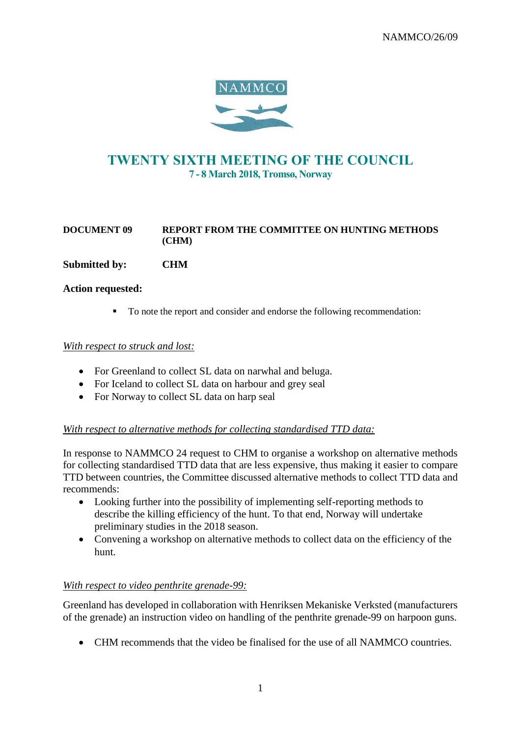

# TWENTY SIXTH MEETING OF THE COUNCIL 7 - 8 March 2018, Tromsø, Norway

## **DOCUMENT 09 REPORT FROM THE COMMITTEE ON HUNTING METHODS (CHM)**

**Submitted by: CHM**

### **Action requested:**

■ To note the report and consider and endorse the following recommendation:

### *With respect to struck and lost:*

- For Greenland to collect SL data on narwhal and beluga.
- For Iceland to collect SL data on harbour and grey seal
- For Norway to collect SL data on harp seal

## *With respect to alternative methods for collecting standardised TTD data:*

In response to NAMMCO 24 request to CHM to organise a workshop on alternative methods for collecting standardised TTD data that are less expensive, thus making it easier to compare TTD between countries, the Committee discussed alternative methods to collect TTD data and recommends:

- Looking further into the possibility of implementing self-reporting methods to describe the killing efficiency of the hunt. To that end, Norway will undertake preliminary studies in the 2018 season.
- Convening a workshop on alternative methods to collect data on the efficiency of the hunt.

### *With respect to video penthrite grenade-99:*

Greenland has developed in collaboration with Henriksen Mekaniske Verksted (manufacturers of the grenade) an instruction video on handling of the penthrite grenade-99 on harpoon guns.

• CHM recommends that the video be finalised for the use of all NAMMCO countries.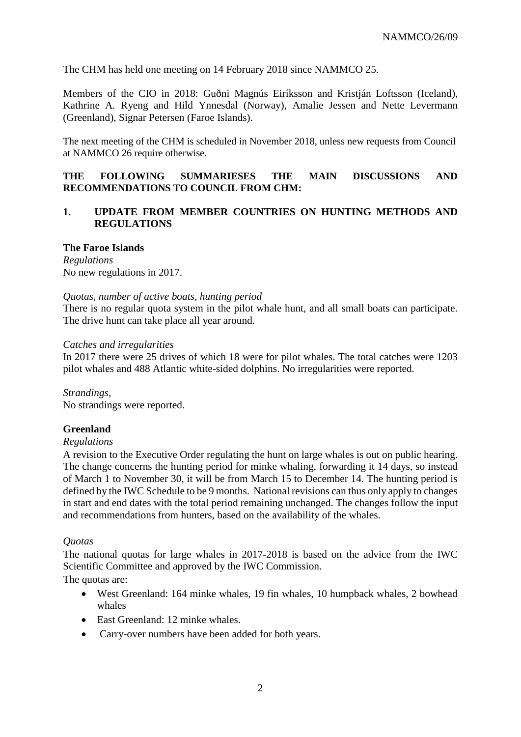The CHM has held one meeting on 14 February 2018 since NAMMCO 25.

Members of the CIO in 2018: Guðni Magnús Eiríksson and Kristján Loftsson (Iceland), Kathrine A. Ryeng and Hild Ynnesdal (Norway), Amalie Jessen and Nette Levermann (Greenland), Signar Petersen (Faroe Islands).

The next meeting of the CHM is scheduled in November 2018, unless new requests from Council at NAMMCO 26 require otherwise.

### **THE FOLLOWING SUMMARIESES THE MAIN DISCUSSIONS AND RECOMMENDATIONS TO COUNCIL FROM CHM:**

## **1. UPDATE FROM MEMBER COUNTRIES ON HUNTING METHODS AND REGULATIONS**

#### **The Faroe Islands**

*Regulations* No new regulations in 2017.

#### *Quotas, number of active boats, hunting period*

There is no regular quota system in the pilot whale hunt, and all small boats can participate. The drive hunt can take place all year around.

#### *Catches and irregularities*

In 2017 there were 25 drives of which 18 were for pilot whales. The total catches were 1203 pilot whales and 488 Atlantic white-sided dolphins. No irregularities were reported.

*Strandings,*  No strandings were reported.

## **Greenland**

### *Regulations*

A revision to the Executive Order regulating the hunt on large whales is out on public hearing. The change concerns the hunting period for minke whaling, forwarding it 14 days, so instead of March 1 to November 30, it will be from March 15 to December 14. The hunting period is defined by the IWC Schedule to be 9 months. National revisions can thus only apply to changes in start and end dates with the total period remaining unchanged. The changes follow the input and recommendations from hunters, based on the availability of the whales.

### *Quotas*

The national quotas for large whales in 2017-2018 is based on the advice from the IWC Scientific Committee and approved by the IWC Commission.

The quotas are:

- West Greenland: 164 minke whales, 19 fin whales, 10 humpback whales, 2 bowhead whales
- East Greenland: 12 minke whales.
- Carry-over numbers have been added for both years.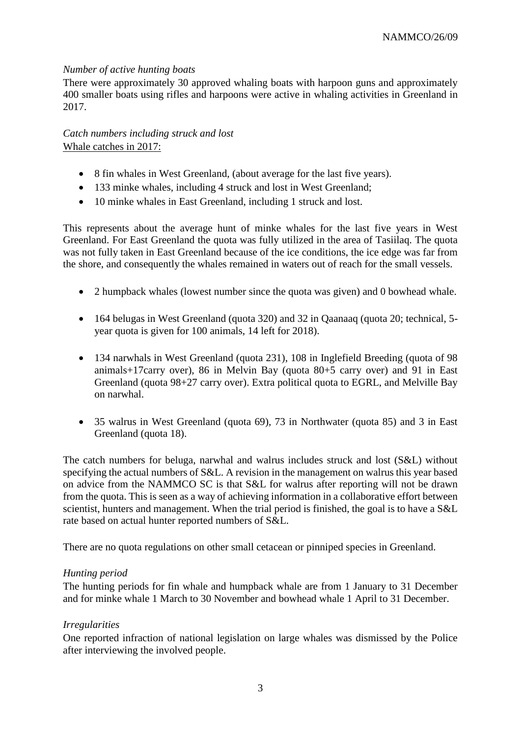### *Number of active hunting boats*

There were approximately 30 approved whaling boats with harpoon guns and approximately 400 smaller boats using rifles and harpoons were active in whaling activities in Greenland in 2017.

*Catch numbers including struck and lost*  Whale catches in 2017:

- 8 fin whales in West Greenland, (about average for the last five years).
- 133 minke whales, including 4 struck and lost in West Greenland;
- 10 minke whales in East Greenland, including 1 struck and lost.

This represents about the average hunt of minke whales for the last five years in West Greenland. For East Greenland the quota was fully utilized in the area of Tasiilaq. The quota was not fully taken in East Greenland because of the ice conditions, the ice edge was far from the shore, and consequently the whales remained in waters out of reach for the small vessels.

- 2 humpback whales (lowest number since the quota was given) and 0 bowhead whale.
- 164 belugas in West Greenland (quota 320) and 32 in Qaanaaq (quota 20; technical, 5year quota is given for 100 animals, 14 left for 2018).
- 134 narwhals in West Greenland (quota 231), 108 in Inglefield Breeding (quota of 98 animals+17carry over), 86 in Melvin Bay (quota 80+5 carry over) and 91 in East Greenland (quota 98+27 carry over). Extra political quota to EGRL, and Melville Bay on narwhal.
- 35 walrus in West Greenland (quota 69), 73 in Northwater (quota 85) and 3 in East Greenland (quota 18).

The catch numbers for beluga, narwhal and walrus includes struck and lost (S&L) without specifying the actual numbers of S&L. A revision in the management on walrus this year based on advice from the NAMMCO SC is that S&L for walrus after reporting will not be drawn from the quota. This is seen as a way of achieving information in a collaborative effort between scientist, hunters and management. When the trial period is finished, the goal is to have a S&L rate based on actual hunter reported numbers of S&L.

There are no quota regulations on other small cetacean or pinniped species in Greenland.

### *Hunting period*

The hunting periods for fin whale and humpback whale are from 1 January to 31 December and for minke whale 1 March to 30 November and bowhead whale 1 April to 31 December.

### *Irregularities*

One reported infraction of national legislation on large whales was dismissed by the Police after interviewing the involved people.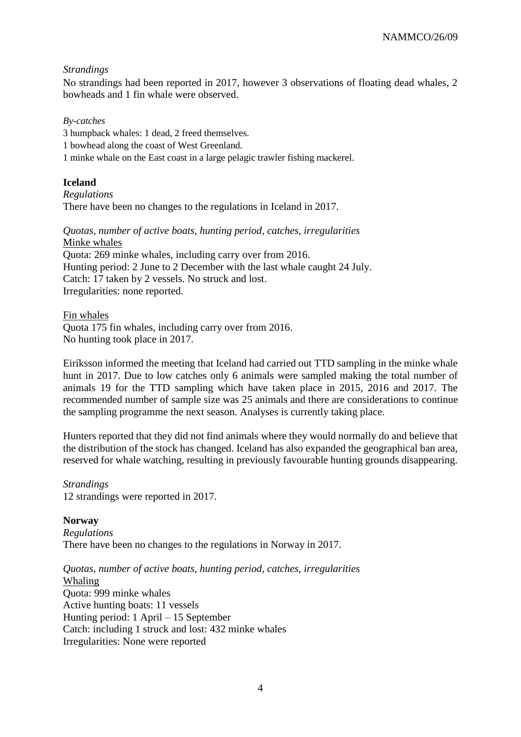### *Strandings*

No strandings had been reported in 2017, however 3 observations of floating dead whales, 2 bowheads and 1 fin whale were observed.

*By-catches*

3 humpback whales: 1 dead, 2 freed themselves.

1 bowhead along the coast of West Greenland.

1 minke whale on the East coast in a large pelagic trawler fishing mackerel.

## **Iceland**

*Regulations* There have been no changes to the regulations in Iceland in 2017.

*Quotas, number of active boats, hunting period, catches, irregularities* Minke whales Quota: 269 minke whales, including carry over from 2016. Hunting period: 2 June to 2 December with the last whale caught 24 July. Catch: 17 taken by 2 vessels. No struck and lost. Irregularities: none reported.

Fin whales Quota 175 fin whales, including carry over from 2016. No hunting took place in 2017.

Eiríksson informed the meeting that Iceland had carried out TTD sampling in the minke whale hunt in 2017. Due to low catches only 6 animals were sampled making the total number of animals 19 for the TTD sampling which have taken place in 2015, 2016 and 2017. The recommended number of sample size was 25 animals and there are considerations to continue the sampling programme the next season. Analyses is currently taking place.

Hunters reported that they did not find animals where they would normally do and believe that the distribution of the stock has changed. Iceland has also expanded the geographical ban area, reserved for whale watching, resulting in previously favourable hunting grounds disappearing.

*Strandings* 12 strandings were reported in 2017.

**Norway** *Regulations* There have been no changes to the regulations in Norway in 2017.

*Quotas, number of active boats, hunting period, catches, irregularities* Whaling Quota: 999 minke whales Active hunting boats: 11 vessels Hunting period: 1 April – 15 September Catch: including 1 struck and lost: 432 minke whales Irregularities: None were reported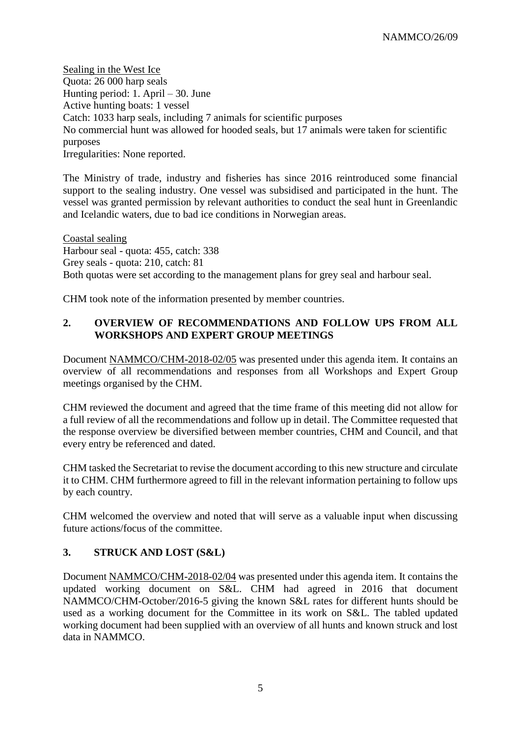Sealing in the West Ice Quota: 26 000 harp seals Hunting period: 1. April – 30. June Active hunting boats: 1 vessel Catch: 1033 harp seals, including 7 animals for scientific purposes No commercial hunt was allowed for hooded seals, but 17 animals were taken for scientific purposes Irregularities: None reported.

The Ministry of trade, industry and fisheries has since 2016 reintroduced some financial support to the sealing industry. One vessel was subsidised and participated in the hunt. The vessel was granted permission by relevant authorities to conduct the seal hunt in Greenlandic and Icelandic waters, due to bad ice conditions in Norwegian areas.

Coastal sealing Harbour seal - quota: 455, catch: 338 Grey seals - quota: 210, catch: 81 Both quotas were set according to the management plans for grey seal and harbour seal.

CHM took note of the information presented by member countries.

## **2. OVERVIEW OF RECOMMENDATIONS AND FOLLOW UPS FROM ALL WORKSHOPS AND EXPERT GROUP MEETINGS**

Document NAMMCO/CHM-2018-02/05 was presented under this agenda item. It contains an overview of all recommendations and responses from all Workshops and Expert Group meetings organised by the CHM.

CHM reviewed the document and agreed that the time frame of this meeting did not allow for a full review of all the recommendations and follow up in detail. The Committee requested that the response overview be diversified between member countries, CHM and Council, and that every entry be referenced and dated.

CHM tasked the Secretariat to revise the document according to this new structure and circulate it to CHM. CHM furthermore agreed to fill in the relevant information pertaining to follow ups by each country.

CHM welcomed the overview and noted that will serve as a valuable input when discussing future actions/focus of the committee.

## **3. STRUCK AND LOST (S&L)**

Document NAMMCO/CHM-2018-02/04 was presented under this agenda item. It contains the updated working document on S&L. CHM had agreed in 2016 that document NAMMCO/CHM-October/2016-5 giving the known S&L rates for different hunts should be used as a working document for the Committee in its work on S&L. The tabled updated working document had been supplied with an overview of all hunts and known struck and lost data in NAMMCO.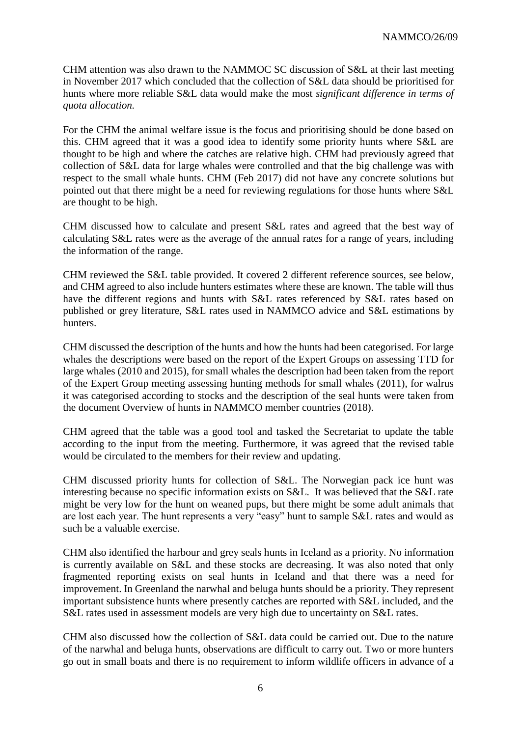CHM attention was also drawn to the NAMMOC SC discussion of S&L at their last meeting in November 2017 which concluded that the collection of S&L data should be prioritised for hunts where more reliable S&L data would make the most *significant difference in terms of quota allocation.*

For the CHM the animal welfare issue is the focus and prioritising should be done based on this. CHM agreed that it was a good idea to identify some priority hunts where S&L are thought to be high and where the catches are relative high. CHM had previously agreed that collection of S&L data for large whales were controlled and that the big challenge was with respect to the small whale hunts. CHM (Feb 2017) did not have any concrete solutions but pointed out that there might be a need for reviewing regulations for those hunts where S&L are thought to be high.

CHM discussed how to calculate and present S&L rates and agreed that the best way of calculating S&L rates were as the average of the annual rates for a range of years, including the information of the range.

CHM reviewed the S&L table provided. It covered 2 different reference sources, see below, and CHM agreed to also include hunters estimates where these are known. The table will thus have the different regions and hunts with S&L rates referenced by S&L rates based on published or grey literature, S&L rates used in NAMMCO advice and S&L estimations by hunters.

CHM discussed the description of the hunts and how the hunts had been categorised. For large whales the descriptions were based on the report of the Expert Groups on assessing TTD for large whales (2010 and 2015), for small whales the description had been taken from the report of the Expert Group meeting assessing hunting methods for small whales (2011), for walrus it was categorised according to stocks and the description of the seal hunts were taken from the document Overview of hunts in NAMMCO member countries (2018).

CHM agreed that the table was a good tool and tasked the Secretariat to update the table according to the input from the meeting. Furthermore, it was agreed that the revised table would be circulated to the members for their review and updating.

CHM discussed priority hunts for collection of S&L. The Norwegian pack ice hunt was interesting because no specific information exists on S&L. It was believed that the S&L rate might be very low for the hunt on weaned pups, but there might be some adult animals that are lost each year. The hunt represents a very "easy" hunt to sample S&L rates and would as such be a valuable exercise.

CHM also identified the harbour and grey seals hunts in Iceland as a priority. No information is currently available on S&L and these stocks are decreasing. It was also noted that only fragmented reporting exists on seal hunts in Iceland and that there was a need for improvement. In Greenland the narwhal and beluga hunts should be a priority. They represent important subsistence hunts where presently catches are reported with S&L included, and the S&L rates used in assessment models are very high due to uncertainty on S&L rates.

CHM also discussed how the collection of S&L data could be carried out. Due to the nature of the narwhal and beluga hunts, observations are difficult to carry out. Two or more hunters go out in small boats and there is no requirement to inform wildlife officers in advance of a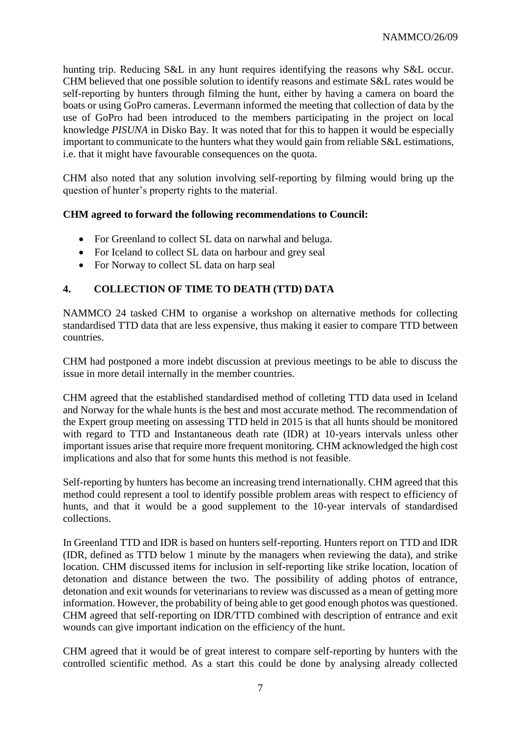hunting trip. Reducing S&L in any hunt requires identifying the reasons why S&L occur. CHM believed that one possible solution to identify reasons and estimate S&L rates would be self-reporting by hunters through filming the hunt, either by having a camera on board the boats or using GoPro cameras. Levermann informed the meeting that collection of data by the use of GoPro had been introduced to the members participating in the project on local knowledge *PISUNA* in Disko Bay. It was noted that for this to happen it would be especially important to communicate to the hunters what they would gain from reliable S&L estimations, i.e. that it might have favourable consequences on the quota.

CHM also noted that any solution involving self-reporting by filming would bring up the question of hunter's property rights to the material.

## **CHM agreed to forward the following recommendations to Council:**

- For Greenland to collect SL data on narwhal and beluga.
- For Iceland to collect SL data on harbour and grey seal
- For Norway to collect SL data on harp seal

## **4. COLLECTION OF TIME TO DEATH (TTD) DATA**

NAMMCO 24 tasked CHM to organise a workshop on alternative methods for collecting standardised TTD data that are less expensive, thus making it easier to compare TTD between countries.

CHM had postponed a more indebt discussion at previous meetings to be able to discuss the issue in more detail internally in the member countries.

CHM agreed that the established standardised method of colleting TTD data used in Iceland and Norway for the whale hunts is the best and most accurate method. The recommendation of the Expert group meeting on assessing TTD held in 2015 is that all hunts should be monitored with regard to TTD and Instantaneous death rate (IDR) at 10-years intervals unless other important issues arise that require more frequent monitoring. CHM acknowledged the high cost implications and also that for some hunts this method is not feasible.

Self-reporting by hunters has become an increasing trend internationally. CHM agreed that this method could represent a tool to identify possible problem areas with respect to efficiency of hunts, and that it would be a good supplement to the 10-year intervals of standardised collections.

In Greenland TTD and IDR is based on hunters self-reporting. Hunters report on TTD and IDR (IDR, defined as TTD below 1 minute by the managers when reviewing the data), and strike location. CHM discussed items for inclusion in self-reporting like strike location, location of detonation and distance between the two. The possibility of adding photos of entrance, detonation and exit wounds for veterinarians to review was discussed as a mean of getting more information. However, the probability of being able to get good enough photos was questioned. CHM agreed that self-reporting on IDR/TTD combined with description of entrance and exit wounds can give important indication on the efficiency of the hunt.

CHM agreed that it would be of great interest to compare self-reporting by hunters with the controlled scientific method. As a start this could be done by analysing already collected